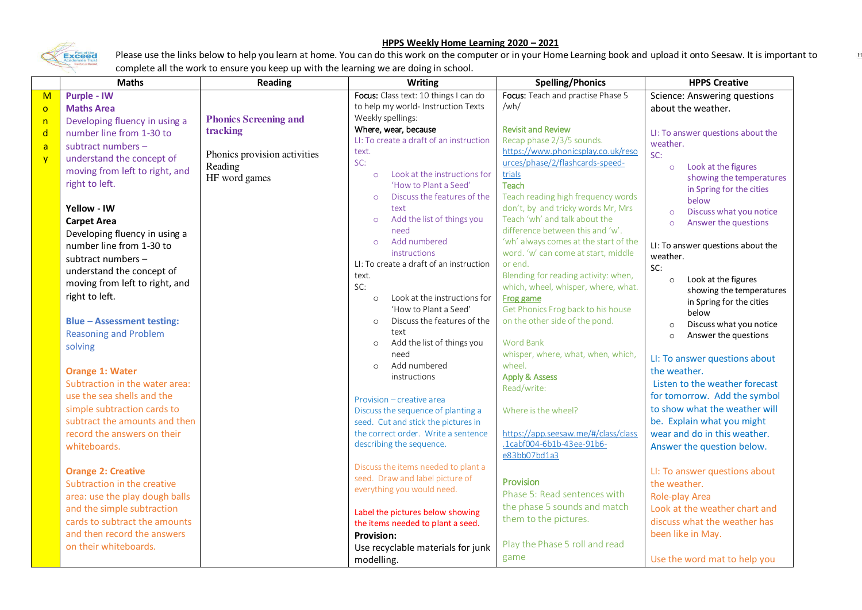## **HPPS Weekly Home Learning 2020 – 2021**



Please use the links below to help you learn at home. You can do this work on the computer or in your Home Learning book and upload it onto Seesaw. It is important to complete all the work to ensure you keep up with the learning we are doing in school.

|                         | <b>Maths</b>                      | <b>Reading</b>               | <b>Writing</b>                                                        | <b>Spelling/Phonics</b>                                               | <b>HPPS Creative</b>               |
|-------------------------|-----------------------------------|------------------------------|-----------------------------------------------------------------------|-----------------------------------------------------------------------|------------------------------------|
| $\overline{\mathsf{M}}$ | <b>Purple - IW</b>                |                              | Focus: Class text: 10 things I can do                                 | Focus: Teach and practise Phase 5                                     | Science: Answering questions       |
| $\circ$                 | <b>Maths Area</b>                 |                              | to help my world- Instruction Texts                                   | /wh/                                                                  | about the weather.                 |
| n                       | Developing fluency in using a     | <b>Phonics Screening and</b> | Weekly spellings:                                                     |                                                                       |                                    |
| $\mathsf{d}$            | number line from 1-30 to          | tracking                     | Where, wear, because                                                  | <b>Revisit and Review</b>                                             | LI: To answer questions about the  |
| $\overline{a}$          | subtract numbers -                |                              | LI: To create a draft of an instruction                               | Recap phase 2/3/5 sounds.                                             | weather.                           |
| $\overline{y}$          | understand the concept of         | Phonics provision activities | text.<br>SC:                                                          | https://www.phonicsplay.co.uk/reso<br>urces/phase/2/flashcards-speed- | SC:                                |
|                         | moving from left to right, and    | Reading                      | Look at the instructions for<br>$\circ$                               | trials                                                                | Look at the figures<br>$\circ$     |
|                         | right to left.                    | HF word games                | 'How to Plant a Seed'                                                 | Teach                                                                 | showing the temperatures           |
|                         |                                   |                              | Discuss the features of the<br>$\circ$                                | Teach reading high frequency words                                    | in Spring for the cities           |
|                         | Yellow - IW                       |                              | text                                                                  | don't, by and tricky words Mr, Mrs                                    | below                              |
|                         | <b>Carpet Area</b>                |                              | Add the list of things you<br>$\circ$                                 | Teach 'wh' and talk about the                                         | Discuss what you notice<br>$\circ$ |
|                         | Developing fluency in using a     |                              | need                                                                  | difference between this and 'w'.                                      | Answer the questions<br>$\circ$    |
|                         | number line from 1-30 to          |                              | Add numbered<br>$\circ$                                               | 'wh' always comes at the start of the                                 | LI: To answer questions about the  |
|                         |                                   |                              | instructions                                                          | word. 'w' can come at start, middle                                   | weather.                           |
|                         | subtract numbers -                |                              | LI: To create a draft of an instruction                               | or end.                                                               | SC:                                |
|                         | understand the concept of         |                              | text.                                                                 | Blending for reading activity: when,                                  | Look at the figures<br>$\circ$     |
|                         | moving from left to right, and    |                              | SC:                                                                   | which, wheel, whisper, where, what.                                   | showing the temperatures           |
|                         | right to left.                    |                              | Look at the instructions for<br>$\circ$                               | Frog game                                                             | in Spring for the cities           |
|                         |                                   |                              | 'How to Plant a Seed'                                                 | Get Phonics Frog back to his house                                    | below                              |
|                         | <b>Blue - Assessment testing:</b> |                              | Discuss the features of the<br>$\circ$                                | on the other side of the pond.                                        | Discuss what you notice<br>$\circ$ |
|                         | <b>Reasoning and Problem</b>      |                              | text                                                                  |                                                                       | Answer the questions<br>$\circ$    |
|                         | solving                           |                              | Add the list of things you<br>$\circ$<br>need                         | <b>Word Bank</b><br>whisper, where, what, when, which,                |                                    |
|                         |                                   |                              | Add numbered<br>$\circ$                                               | wheel.                                                                | LI: To answer questions about      |
|                         | <b>Orange 1: Water</b>            |                              | instructions                                                          | <b>Apply &amp; Assess</b>                                             | the weather.                       |
|                         | Subtraction in the water area:    |                              |                                                                       | Read/write:                                                           | Listen to the weather forecast     |
|                         | use the sea shells and the        |                              | Provision - creative area                                             |                                                                       | for tomorrow. Add the symbol       |
|                         | simple subtraction cards to       |                              | Discuss the sequence of planting a                                    | Where is the wheel?                                                   | to show what the weather will      |
|                         | subtract the amounts and then     |                              | seed. Cut and stick the pictures in                                   |                                                                       | be. Explain what you might         |
|                         | record the answers on their       |                              | the correct order. Write a sentence                                   | https://app.seesaw.me/#/class/class                                   | wear and do in this weather.       |
|                         | whiteboards.                      |                              | describing the sequence.                                              | .1cabf004-6b1b-43ee-91b6-                                             | Answer the question below.         |
|                         |                                   |                              |                                                                       | e83bb07bd1a3                                                          |                                    |
|                         | <b>Orange 2: Creative</b>         |                              | Discuss the items needed to plant a                                   |                                                                       | LI: To answer questions about      |
|                         | Subtraction in the creative       |                              | seed. Draw and label picture of                                       | Provision                                                             | the weather.                       |
|                         | area: use the play dough balls    |                              | everything you would need.                                            | Phase 5: Read sentences with                                          | Role-play Area                     |
|                         | and the simple subtraction        |                              |                                                                       | the phase 5 sounds and match                                          | Look at the weather chart and      |
|                         | cards to subtract the amounts     |                              | Label the pictures below showing<br>the items needed to plant a seed. | them to the pictures.                                                 | discuss what the weather has       |
|                         | and then record the answers       |                              | Provision:                                                            |                                                                       | been like in May.                  |
|                         | on their whiteboards.             |                              | Use recyclable materials for junk                                     | Play the Phase 5 roll and read                                        |                                    |
|                         |                                   |                              | modelling.                                                            | game                                                                  | Use the word mat to help you       |
|                         |                                   |                              |                                                                       |                                                                       |                                    |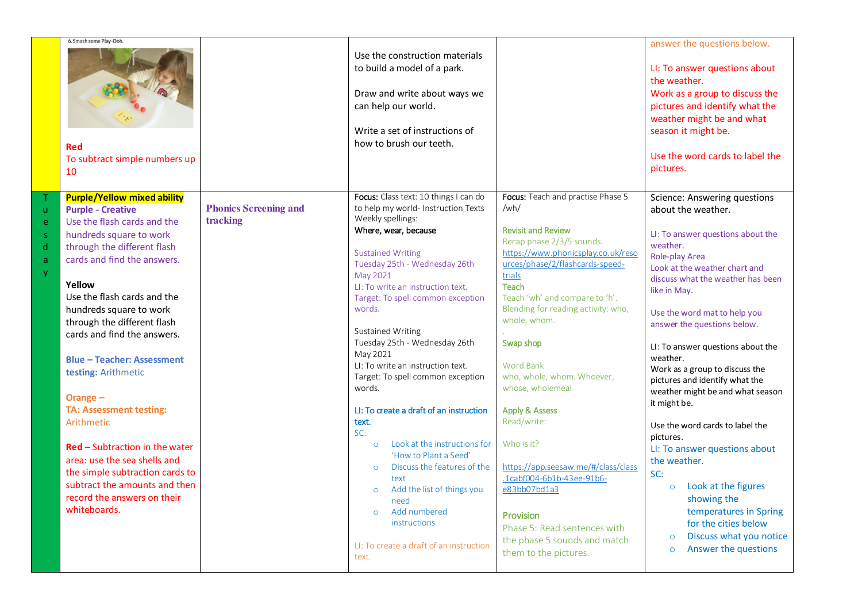|                          | 6. Smash some Play-Doh.<br><b>Red</b><br>To subtract simple numbers up<br>10                                                                                                                                                                                                                                                                                                                                                                                                                                                                                                                                                                 |                                          | Use the construction materials<br>to build a model of a park.<br>Draw and write about ways we<br>can help our world.<br>Write a set of instructions of<br>how to brush our teeth.                                                                                                                                                                                                                                                                                                                                                                                                                                                                                                                                                                                             |                                                                                                                                                                                                                                                                                                                                                                                                                                                                                                                                                                                                                                 | answer the questions below.<br>LI: To answer questions about<br>the weather.<br>Work as a group to discuss the<br>pictures and identify what the<br>weather might be and what<br>season it might be.<br>Use the word cards to label the<br>pictures.                                                                                                                                                                                                                                                                                                                                                                                                                                                                                    |
|--------------------------|----------------------------------------------------------------------------------------------------------------------------------------------------------------------------------------------------------------------------------------------------------------------------------------------------------------------------------------------------------------------------------------------------------------------------------------------------------------------------------------------------------------------------------------------------------------------------------------------------------------------------------------------|------------------------------------------|-------------------------------------------------------------------------------------------------------------------------------------------------------------------------------------------------------------------------------------------------------------------------------------------------------------------------------------------------------------------------------------------------------------------------------------------------------------------------------------------------------------------------------------------------------------------------------------------------------------------------------------------------------------------------------------------------------------------------------------------------------------------------------|---------------------------------------------------------------------------------------------------------------------------------------------------------------------------------------------------------------------------------------------------------------------------------------------------------------------------------------------------------------------------------------------------------------------------------------------------------------------------------------------------------------------------------------------------------------------------------------------------------------------------------|-----------------------------------------------------------------------------------------------------------------------------------------------------------------------------------------------------------------------------------------------------------------------------------------------------------------------------------------------------------------------------------------------------------------------------------------------------------------------------------------------------------------------------------------------------------------------------------------------------------------------------------------------------------------------------------------------------------------------------------------|
| ū.<br>e.<br>S.<br>d<br>a | <b>Purple/Yellow mixed ability</b><br><b>Purple - Creative</b><br>Use the flash cards and the<br>hundreds square to work<br>through the different flash<br>cards and find the answers.<br>Yellow<br>Use the flash cards and the<br>hundreds square to work<br>through the different flash<br>cards and find the answers.<br><b>Blue - Teacher: Assessment</b><br>testing: Arithmetic<br>Orange -<br><b>TA: Assessment testing:</b><br>Arithmetic<br><b>Red - Subtraction in the water</b><br>area: use the sea shells and<br>the simple subtraction cards to<br>subtract the amounts and then<br>record the answers on their<br>whiteboards. | <b>Phonics Screening and</b><br>tracking | Focus: Class text: 10 things I can do<br>to help my world- Instruction Texts<br>Weekly spellings:<br>Where, wear, because<br><b>Sustained Writing</b><br>Tuesday 25th - Wednesday 26th<br>May 2021<br>LI: To write an instruction text.<br>Target: To spell common exception<br>words.<br>Sustained Writing<br>Tuesday 25th - Wednesday 26th<br>May 2021<br>LI: To write an instruction text.<br>Target: To spell common exception<br>words.<br>LI: To create a draft of an instruction<br>text.<br>SC:<br>Look at the instructions for<br>$\circ$<br>'How to Plant a Seed'<br>Discuss the features of the<br>$\circ$<br>text<br>Add the list of things you<br>$\circ$<br>need<br>Add numbered<br>$\circ$<br>instructions<br>LI: To create a draft of an instruction<br>text. | Focus: Teach and practise Phase 5<br>/wh/<br><b>Revisit and Review</b><br>Recap phase 2/3/5 sounds.<br>https://www.phonicsplay.co.uk/reso<br>urces/phase/2/flashcards-speed-<br>trials<br>Teach<br>Teach 'wh' and compare to 'h'.<br>Blending for reading activity: who,<br>whole, whom.<br>Swap shop<br><b>Word Bank</b><br>who, whole, whom. Whoever,<br>whose, wholemeal<br><b>Apply &amp; Assess</b><br>Read/write:<br>Who is it?<br>https://app.seesaw.me/#/class/class<br>.1cabf004-6b1b-43ee-91b6-<br>e83bb07bd1a3<br>Provision<br>Phase 5: Read sentences with<br>the phase 5 sounds and match<br>them to the pictures. | Science: Answering questions<br>about the weather.<br>LI: To answer questions about the<br>weather.<br>Role-play Area<br>Look at the weather chart and<br>discuss what the weather has been<br>like in May.<br>Use the word mat to help you<br>answer the questions below.<br>LI: To answer questions about the<br>weather.<br>Work as a group to discuss the<br>pictures and identify what the<br>weather might be and what season<br>it might be.<br>Use the word cards to label the<br>pictures.<br>LI: To answer questions about<br>the weather.<br>SC:<br>Look at the figures<br>$\circ$<br>showing the<br>temperatures in Spring<br>for the cities below<br>Discuss what you notice<br>$\circ$<br>Answer the questions<br>$\circ$ |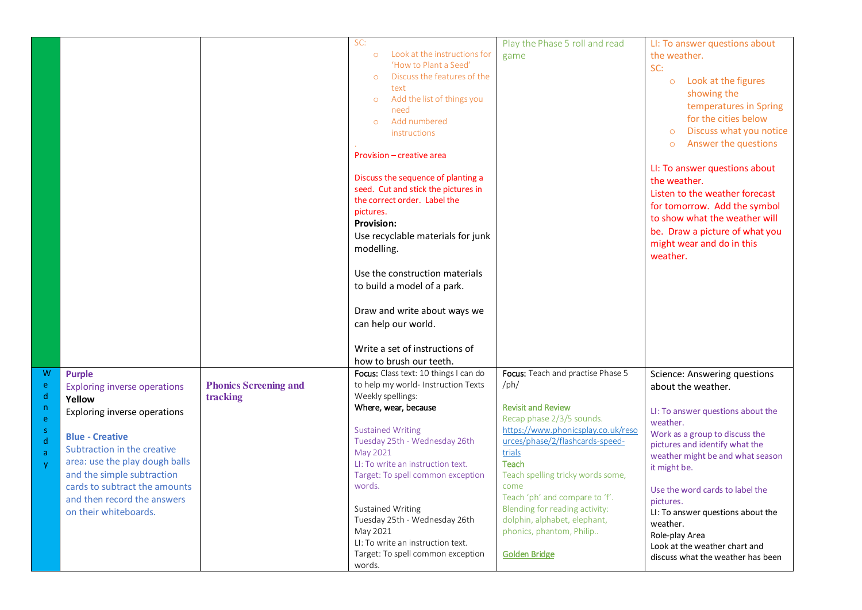|                   |                                                             |                                          | SC:<br>Look at the instructions for<br>$\circ$<br>'How to Plant a Seed'<br>Discuss the features of the<br>$\circ$<br>text<br>Add the list of things you<br>$\circ$<br>need<br>Add numbered<br>$\Omega$<br>instructions<br>Provision - creative area<br>Discuss the sequence of planting a<br>seed. Cut and stick the pictures in<br>the correct order. Label the<br>pictures.<br><b>Provision:</b><br>Use recyclable materials for junk<br>modelling.<br>Use the construction materials<br>to build a model of a park.<br>Draw and write about ways we<br>can help our world.<br>Write a set of instructions of<br>how to brush our teeth. | Play the Phase 5 roll and read<br>game                   | LI: To answer questions about<br>the weather.<br>SC:<br>Look at the figures<br>$\circ$<br>showing the<br>temperatures in Spring<br>for the cities below<br>Discuss what you notice<br>$\circ$<br>Answer the questions<br>$\circ$<br>LI: To answer questions about<br>the weather.<br>Listen to the weather forecast<br>for tomorrow. Add the symbol<br>to show what the weather will<br>be. Draw a picture of what you<br>might wear and do in this<br>weather. |
|-------------------|-------------------------------------------------------------|------------------------------------------|--------------------------------------------------------------------------------------------------------------------------------------------------------------------------------------------------------------------------------------------------------------------------------------------------------------------------------------------------------------------------------------------------------------------------------------------------------------------------------------------------------------------------------------------------------------------------------------------------------------------------------------------|----------------------------------------------------------|-----------------------------------------------------------------------------------------------------------------------------------------------------------------------------------------------------------------------------------------------------------------------------------------------------------------------------------------------------------------------------------------------------------------------------------------------------------------|
| W                 | <b>Purple</b>                                               |                                          | Focus: Class text: 10 things I can do                                                                                                                                                                                                                                                                                                                                                                                                                                                                                                                                                                                                      | Focus: Teach and practise Phase 5                        | Science: Answering questions                                                                                                                                                                                                                                                                                                                                                                                                                                    |
| e<br>d            | <b>Exploring inverse operations</b><br>Yellow               | <b>Phonics Screening and</b><br>tracking | to help my world- Instruction Texts<br>Weekly spellings:                                                                                                                                                                                                                                                                                                                                                                                                                                                                                                                                                                                   | /ph/                                                     | about the weather.                                                                                                                                                                                                                                                                                                                                                                                                                                              |
| $\mathsf{n}$<br>e | Exploring inverse operations                                |                                          | Where, wear, because                                                                                                                                                                                                                                                                                                                                                                                                                                                                                                                                                                                                                       | <b>Revisit and Review</b><br>Recap phase 2/3/5 sounds.   | LI: To answer questions about the                                                                                                                                                                                                                                                                                                                                                                                                                               |
| $\mathsf S$       | <b>Blue - Creative</b>                                      |                                          | <b>Sustained Writing</b>                                                                                                                                                                                                                                                                                                                                                                                                                                                                                                                                                                                                                   | https://www.phonicsplay.co.uk/reso                       | weather.<br>Work as a group to discuss the                                                                                                                                                                                                                                                                                                                                                                                                                      |
| $\mathsf{d}$<br>a | Subtraction in the creative                                 |                                          | Tuesday 25th - Wednesday 26th<br>May 2021                                                                                                                                                                                                                                                                                                                                                                                                                                                                                                                                                                                                  | urces/phase/2/flashcards-speed-<br>trials                | pictures and identify what the<br>weather might be and what season                                                                                                                                                                                                                                                                                                                                                                                              |
| <b>V</b>          | area: use the play dough balls                              |                                          | LI: To write an instruction text.                                                                                                                                                                                                                                                                                                                                                                                                                                                                                                                                                                                                          | Teach                                                    | it might be.                                                                                                                                                                                                                                                                                                                                                                                                                                                    |
|                   | and the simple subtraction<br>cards to subtract the amounts |                                          | Target: To spell common exception<br>words.                                                                                                                                                                                                                                                                                                                                                                                                                                                                                                                                                                                                | Teach spelling tricky words some,<br>come                | Use the word cards to label the                                                                                                                                                                                                                                                                                                                                                                                                                                 |
|                   |                                                             |                                          |                                                                                                                                                                                                                                                                                                                                                                                                                                                                                                                                                                                                                                            | Teach 'ph' and compare to 'f'.                           | pictures.                                                                                                                                                                                                                                                                                                                                                                                                                                                       |
|                   | and then record the answers                                 |                                          |                                                                                                                                                                                                                                                                                                                                                                                                                                                                                                                                                                                                                                            |                                                          |                                                                                                                                                                                                                                                                                                                                                                                                                                                                 |
|                   | on their whiteboards.                                       |                                          | Sustained Writing                                                                                                                                                                                                                                                                                                                                                                                                                                                                                                                                                                                                                          | Blending for reading activity:                           | LI: To answer questions about the                                                                                                                                                                                                                                                                                                                                                                                                                               |
|                   |                                                             |                                          | Tuesday 25th - Wednesday 26th<br>May 2021                                                                                                                                                                                                                                                                                                                                                                                                                                                                                                                                                                                                  | dolphin, alphabet, elephant,<br>phonics, phantom, Philip | weather.                                                                                                                                                                                                                                                                                                                                                                                                                                                        |
|                   |                                                             |                                          | LI: To write an instruction text.<br>Target: To spell common exception                                                                                                                                                                                                                                                                                                                                                                                                                                                                                                                                                                     | <b>Golden Bridge</b>                                     | Role-play Area<br>Look at the weather chart and                                                                                                                                                                                                                                                                                                                                                                                                                 |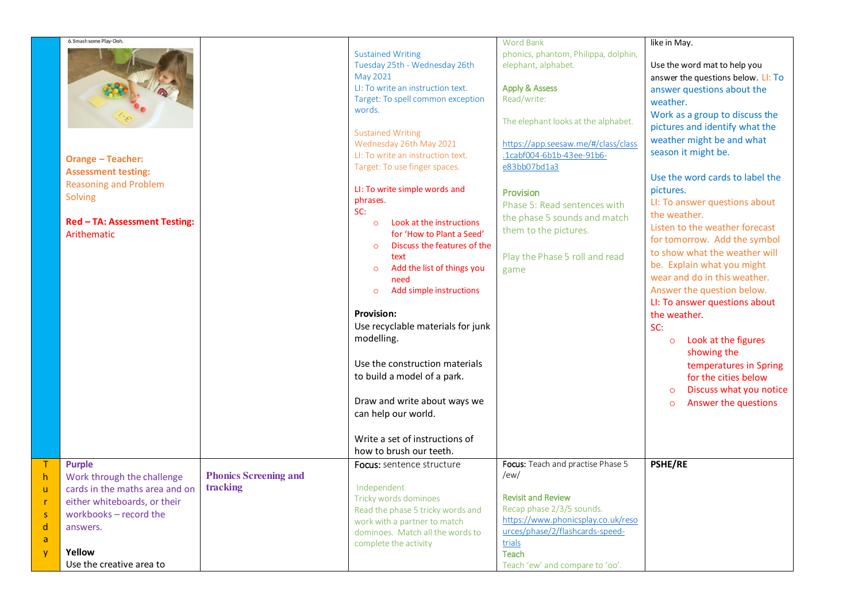| 6. Smash some Play-Doh.<br><b>Orange - Teacher:</b><br><b>Assessment testing:</b><br><b>Reasoning and Problem</b><br>Solving<br>Red - TA: Assessment Testing:<br>Arithematic              |                                          | <b>Sustained Writing</b><br>Tuesday 25th - Wednesday 26th<br>May 2021<br>LI: To write an instruction text.<br>Target: To spell common exception<br>words.<br><b>Sustained Writing</b><br>Wednesday 26th May 2021<br>LI: To write an instruction text.<br>Target: To use finger spaces.<br>LI: To write simple words and<br>phrases.<br>SC:<br>Look at the instructions<br>$\circ$<br>for 'How to Plant a Seed'<br>Discuss the features of the<br>$\circ$<br>text<br>Add the list of things you<br>$\circ$<br>need<br>Add simple instructions<br>$\circ$<br>Provision:<br>Use recyclable materials for junk<br>modelling.<br>Use the construction materials<br>to build a model of a park.<br>Draw and write about ways we<br>can help our world.<br>Write a set of instructions of | <b>Word Bank</b><br>phonics, phantom, Philippa, dolphin,<br>elephant, alphabet.<br><b>Apply &amp; Assess</b><br>Read/write:<br>The elephant looks at the alphabet.<br>https://app.seesaw.me/#/class/class<br>.1cabf004-6b1b-43ee-91b6-<br>e83bb07bd1a3<br>Provision<br>Phase 5: Read sentences with<br>the phase 5 sounds and match<br>them to the pictures.<br>Play the Phase 5 roll and read<br>game | like in May.<br>Use the word mat to help you<br>answer the questions below. LI: To<br>answer questions about the<br>weather.<br>Work as a group to discuss the<br>pictures and identify what the<br>weather might be and what<br>season it might be.<br>Use the word cards to label the<br>pictures.<br>LI: To answer questions about<br>the weather.<br>Listen to the weather forecast<br>for tomorrow. Add the symbol<br>to show what the weather will<br>be. Explain what you might<br>wear and do in this weather.<br>Answer the question below.<br>LI: To answer questions about<br>the weather.<br>SC:<br>Look at the figures<br>$\circ$<br>showing the<br>temperatures in Spring<br>for the cities below<br>Discuss what you notice<br>$\circ$<br>Answer the questions<br>$\circ$ |
|-------------------------------------------------------------------------------------------------------------------------------------------------------------------------------------------|------------------------------------------|------------------------------------------------------------------------------------------------------------------------------------------------------------------------------------------------------------------------------------------------------------------------------------------------------------------------------------------------------------------------------------------------------------------------------------------------------------------------------------------------------------------------------------------------------------------------------------------------------------------------------------------------------------------------------------------------------------------------------------------------------------------------------------|--------------------------------------------------------------------------------------------------------------------------------------------------------------------------------------------------------------------------------------------------------------------------------------------------------------------------------------------------------------------------------------------------------|------------------------------------------------------------------------------------------------------------------------------------------------------------------------------------------------------------------------------------------------------------------------------------------------------------------------------------------------------------------------------------------------------------------------------------------------------------------------------------------------------------------------------------------------------------------------------------------------------------------------------------------------------------------------------------------------------------------------------------------------------------------------------------------|
|                                                                                                                                                                                           |                                          | how to brush our teeth.                                                                                                                                                                                                                                                                                                                                                                                                                                                                                                                                                                                                                                                                                                                                                            |                                                                                                                                                                                                                                                                                                                                                                                                        |                                                                                                                                                                                                                                                                                                                                                                                                                                                                                                                                                                                                                                                                                                                                                                                          |
| <b>Purple</b><br>Work through the challenge<br>cards in the maths area and on<br>either whiteboards, or their<br>workbooks - record the<br>answers.<br>Yellow<br>Use the creative area to | <b>Phonics Screening and</b><br>tracking | Focus: sentence structure<br>Independent<br>Tricky words dominoes<br>Read the phase 5 tricky words and<br>work with a partner to match<br>dominoes. Match all the words to<br>complete the activity                                                                                                                                                                                                                                                                                                                                                                                                                                                                                                                                                                                | Focus: Teach and practise Phase 5<br>/ew/<br><b>Revisit and Review</b><br>Recap phase 2/3/5 sounds.<br>https://www.phonicsplay.co.uk/reso<br>urces/phase/2/flashcards-speed-<br>trials<br>Teach<br>Teach 'ew' and compare to 'oo'.                                                                                                                                                                     | <b>PSHE/RE</b>                                                                                                                                                                                                                                                                                                                                                                                                                                                                                                                                                                                                                                                                                                                                                                           |
|                                                                                                                                                                                           |                                          |                                                                                                                                                                                                                                                                                                                                                                                                                                                                                                                                                                                                                                                                                                                                                                                    |                                                                                                                                                                                                                                                                                                                                                                                                        |                                                                                                                                                                                                                                                                                                                                                                                                                                                                                                                                                                                                                                                                                                                                                                                          |

T h u r s d a y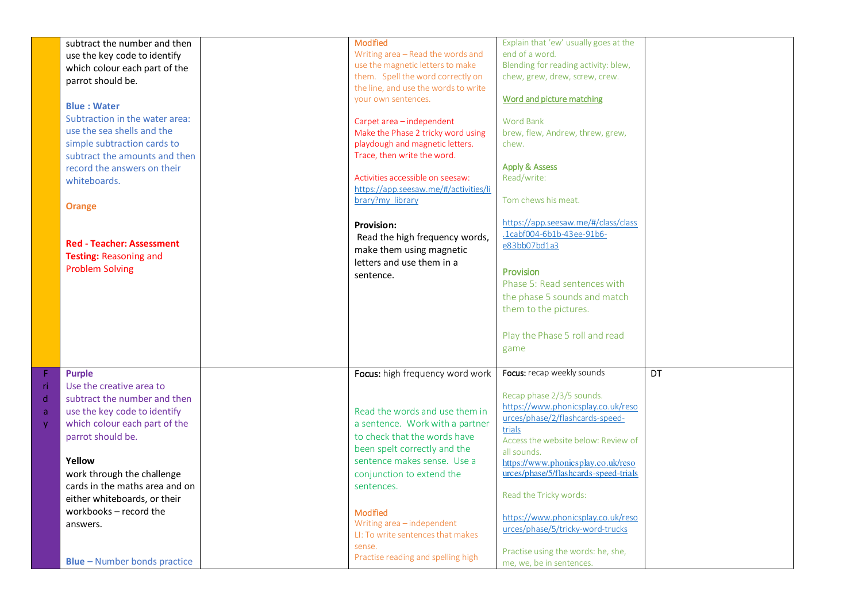| <b>Orange</b>                                                             | subtract the number and then<br>use the key code to identify<br>which colour each part of the<br>parrot should be.<br><b>Blue: Water</b><br>Subtraction in the water area:<br>use the sea shells and the<br>simple subtraction cards to<br>subtract the amounts and then<br>record the answers on their<br>whiteboards.<br><b>Red - Teacher: Assessment</b><br><b>Testing: Reasoning and</b><br><b>Problem Solving</b> | <b>Modified</b><br>Writing area - Read the words and<br>use the magnetic letters to make<br>them. Spell the word correctly on<br>the line, and use the words to write<br>your own sentences.<br>Carpet area - independent<br>Make the Phase 2 tricky word using<br>playdough and magnetic letters.<br>Trace, then write the word.<br>Activities accessible on seesaw:<br>https://app.seesaw.me/#/activities/li<br>brary?my library<br><b>Provision:</b><br>Read the high frequency words,<br>make them using magnetic<br>letters and use them in a<br>sentence. | Explain that 'ew' usually goes at the<br>end of a word.<br>Blending for reading activity: blew,<br>chew, grew, drew, screw, crew.<br>Word and picture matching<br><b>Word Bank</b><br>brew, flew, Andrew, threw, grew,<br>chew.<br><b>Apply &amp; Assess</b><br>Read/write:<br>Tom chews his meat.<br>https://app.seesaw.me/#/class/class<br>.1cabf004-6b1b-43ee-91b6-<br>e83bb07bd1a3<br>Provision<br>Phase 5: Read sentences with<br>the phase 5 sounds and match<br>them to the pictures.<br>Play the Phase 5 roll and read<br>game |    |
|---------------------------------------------------------------------------|------------------------------------------------------------------------------------------------------------------------------------------------------------------------------------------------------------------------------------------------------------------------------------------------------------------------------------------------------------------------------------------------------------------------|-----------------------------------------------------------------------------------------------------------------------------------------------------------------------------------------------------------------------------------------------------------------------------------------------------------------------------------------------------------------------------------------------------------------------------------------------------------------------------------------------------------------------------------------------------------------|----------------------------------------------------------------------------------------------------------------------------------------------------------------------------------------------------------------------------------------------------------------------------------------------------------------------------------------------------------------------------------------------------------------------------------------------------------------------------------------------------------------------------------------|----|
| F<br><b>Purple</b><br>-ri<br>d<br>a<br>$\mathsf{V}$<br>Yellow<br>answers. | Use the creative area to<br>subtract the number and then<br>use the key code to identify<br>which colour each part of the<br>parrot should be.<br>work through the challenge<br>cards in the maths area and on<br>either whiteboards, or their<br>workbooks - record the<br><b>Blue - Number bonds practice</b>                                                                                                        | Focus: high frequency word work<br>Read the words and use them in<br>a sentence. Work with a partner<br>to check that the words have<br>been spelt correctly and the<br>sentence makes sense. Use a<br>conjunction to extend the<br>sentences.<br>Modified<br>Writing area - independent<br>LI: To write sentences that makes<br>sense.<br>Practise reading and spelling high                                                                                                                                                                                   | Focus: recap weekly sounds<br>Recap phase 2/3/5 sounds.<br>https://www.phonicsplay.co.uk/reso<br>urces/phase/2/flashcards-speed-<br>trials<br>Access the website below: Review of<br>all sounds.<br>https://www.phonicsplay.co.uk/reso<br>urces/phase/5/flashcards-speed-trials<br>Read the Tricky words:<br>https://www.phonicsplay.co.uk/reso<br>urces/phase/5/tricky-word-trucks<br>Practise using the words: he, she,<br>me, we, be in sentences.                                                                                  | DT |